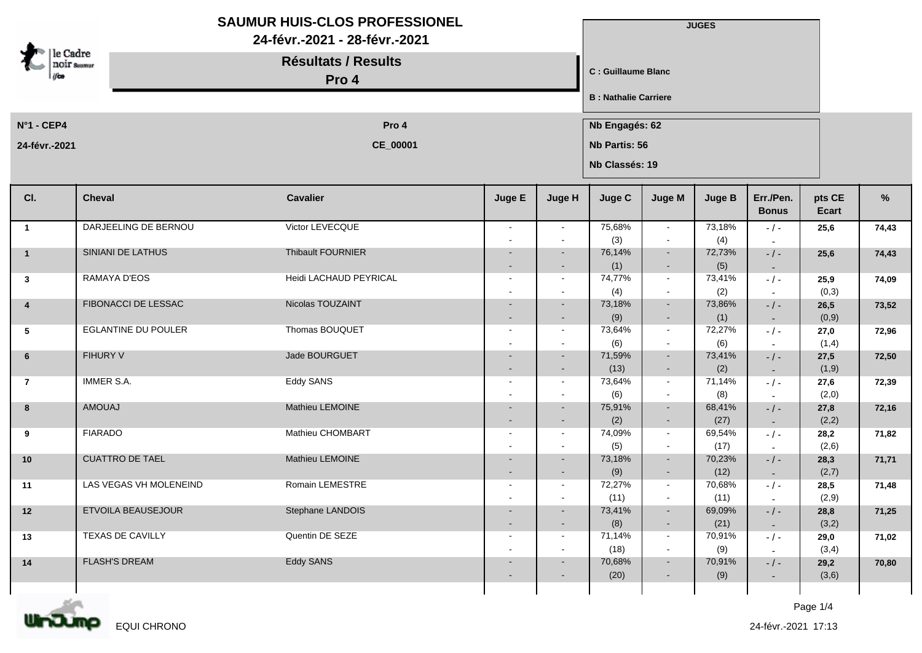|                         |                            | <b>SAUMUR HUIS-CLOS PROFESSIONEL</b><br>24-févr.-2021 - 28-févr.-2021 |                |                  |                              |                                 | <b>JUGES</b>   |                           |                        |       |  |  |
|-------------------------|----------------------------|-----------------------------------------------------------------------|----------------|------------------|------------------------------|---------------------------------|----------------|---------------------------|------------------------|-------|--|--|
| le Cadre<br>noir saamar |                            | <b>Résultats / Results</b><br>Pro 4                                   |                |                  |                              | C : Guillaume Blanc             |                |                           |                        |       |  |  |
|                         |                            |                                                                       |                |                  | <b>B</b> : Nathalie Carriere |                                 |                |                           |                        |       |  |  |
| $N^{\circ}$ 1 - CEP4    |                            | Pro 4                                                                 |                |                  |                              | Nb Engagés: 62                  |                |                           |                        |       |  |  |
| 24-févr.-2021           |                            | CE_00001                                                              |                |                  |                              | Nb Partis: 56<br>Nb Classés: 19 |                |                           |                        |       |  |  |
| CI.                     | <b>Cheval</b>              | <b>Cavalier</b>                                                       | Juge E         | Juge H           | Juge C                       | Juge M                          | <b>Juge B</b>  | Err./Pen.<br><b>Bonus</b> | pts CE<br><b>Ecart</b> | %     |  |  |
| $\overline{1}$          | DARJEELING DE BERNOU       | Victor LEVECQUE                                                       | $\sim$         | $\sim$           | 75,68%                       | $\sim$                          | 73,18%         | $-/-$                     | 25,6                   | 74,43 |  |  |
| $\overline{\mathbf{1}}$ | SINIANI DE LATHUS          | Thibault FOURNIER                                                     |                | $\sim$<br>$\sim$ | (3)<br>76,14%                | $\sim$<br>$\sim$                | (4)<br>72,73%  | $-/-$                     | 25,6                   | 74,43 |  |  |
|                         |                            |                                                                       | $\sim$         | $\sim$           | (1)                          | $\blacksquare$                  | (5)            | $\sim$                    |                        |       |  |  |
| $\mathbf{3}$            | RAMAYA D'EOS               | Heidi LACHAUD PEYRICAL                                                | $\sim$         | $\sim$           | 74,77%                       | $\sim$                          | 73,41%         | $-/-$                     | 25,9                   | 74,09 |  |  |
| $\overline{4}$          | <b>FIBONACCI DE LESSAC</b> | Nicolas TOUZAINT                                                      |                | $\sim$           | (4)<br>73,18%                | $\sim$<br>$\sim$                | (2)<br>73,86%  | $-$ / $-$                 | (0,3)<br>26,5          | 73,52 |  |  |
|                         |                            |                                                                       |                | $\sim$           | (9)                          | $\sim$                          | (1)            | $\sim$                    | (0,9)                  |       |  |  |
| 5                       | <b>EGLANTINE DU POULER</b> | Thomas BOUQUET                                                        | $\sim$         | $\sim$           | 73,64%<br>(6)                | $\sim$<br>$\sim$                | 72,27%<br>(6)  | $-$ / $-$<br>$\sim$       | 27,0<br>(1,4)          | 72,96 |  |  |
| $6\phantom{1}$          | <b>FIHURY V</b>            | Jade BOURGUET                                                         |                | $\sim$           | 71,59%                       | $\sim$                          | 73,41%         | $-/-$                     | 27,5                   | 72,50 |  |  |
|                         |                            |                                                                       | $\sim$         | $\sim$           | (13)                         | $\sim$                          | (2)            | $\sim$                    | (1,9)                  |       |  |  |
| $\overline{7}$          | <b>IMMER S.A.</b>          | <b>Eddy SANS</b>                                                      | $\sim$         | $\sim$           | 73,64%                       | $\sim$<br>$\sim$                | 71,14%<br>(8)  | $-/-$                     | 27,6<br>(2,0)          | 72,39 |  |  |
| 8                       | <b>AMOUAJ</b>              | Mathieu LEMOINE                                                       |                | $\sim$           | (6)<br>75,91%                | $\sim$                          | 68,41%         | $\sim$<br>$-/-$           | 27,8                   | 72,16 |  |  |
|                         |                            |                                                                       |                | $\sim$           | (2)                          | $\blacksquare$                  | (27)           | $\sim$                    | (2,2)                  |       |  |  |
| 9                       | <b>FIARADO</b>             | Mathieu CHOMBART                                                      | $\blacksquare$ | $\sim$           | 74,09%                       | $\sim$                          | 69,54%         | $-/-$                     | 28,2                   | 71,82 |  |  |
|                         |                            |                                                                       |                | $\sim$           | (5)                          | $\sim$                          | (17)           | $\sim$                    | (2,6)                  |       |  |  |
| 10                      | <b>CUATTRO DE TAEL</b>     | Mathieu LEMOINE                                                       |                | $\sim$<br>$\sim$ | 73,18%<br>(9)                | $\sim$<br>$\sim$                | 70,23%<br>(12) | $-$ / $-$<br>$\sim$       | 28,3<br>(2,7)          | 71,71 |  |  |
| 11                      | LAS VEGAS VH MOLENEIND     | Romain LEMESTRE                                                       |                | $\sim$           | 72,27%                       | $\sim$                          | 70,68%         | $-$ / $-$                 | 28,5                   | 71,48 |  |  |
|                         |                            |                                                                       |                | $\sim$           | (11)                         | $\sim$                          | (11)           |                           | (2,9)                  |       |  |  |
| $12$                    | ETVOILA BEAUSEJOUR         | Stephane LANDOIS                                                      | $\sim$         | $\sim$<br>$\sim$ | 73,41%<br>(8)                | $\sim$<br>$\sim$                | 69,09%<br>(21) | $- / -$                   | 28,8<br>(3,2)          | 71,25 |  |  |
| 13                      | TEXAS DE CAVILLY           | Quentin DE SEZE                                                       | $\sim$         | $\sim$           | 71,14%                       | $\sim$                          | 70,91%         | $\sim$<br>$-/-$           | 29,0                   | 71,02 |  |  |
|                         |                            |                                                                       |                | $\sim$           | (18)                         | $\sim$                          | (9)            | $\sim$                    | (3,4)                  |       |  |  |
| 14                      | <b>FLASH'S DREAM</b>       | <b>Eddy SANS</b>                                                      | $\sim$         | $\sim$           | 70,68%                       | $\sim$                          | 70,91%         | $-/-$                     | 29,2                   | 70,80 |  |  |
|                         |                            |                                                                       |                | $\sim$           | (20)                         | $\blacksquare$                  | (9)            | $\sim$                    | (3,6)                  |       |  |  |
|                         |                            |                                                                       |                |                  |                              |                                 |                |                           |                        |       |  |  |

m mт EQUI CHRONO Page 1/4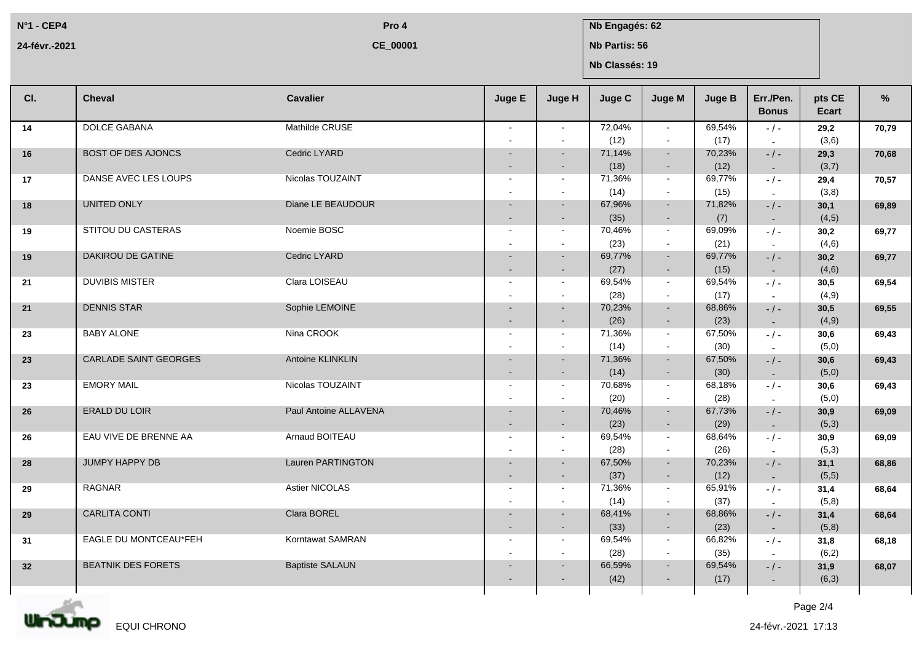**N°1 - CEP4 24-févr.-2021**

**CE\_00001**

## **Pro 4 Nb Engagés: 62**

**Nb Partis: 56**

**Nb Classés: 19**

| CI.             | <b>Cheval</b>                | <b>Cavalier</b>        | Juge E                   | Juge H | Juge C | Juge M         | <b>Juge B</b> | Err./Pen.<br><b>Bonus</b> | pts CE<br>Ecart | %     |
|-----------------|------------------------------|------------------------|--------------------------|--------|--------|----------------|---------------|---------------------------|-----------------|-------|
| 14              | <b>DOLCE GABANA</b>          | Mathilde CRUSE         | $\sim$                   | $\sim$ | 72,04% | $\sim$         | 69,54%        | $-$ / $-$                 | 29,2            | 70,79 |
|                 |                              |                        |                          |        | (12)   | $\sim$         | (17)          |                           | (3,6)           |       |
| 16              | <b>BOST OF DES AJONCS</b>    | Cedric LYARD           |                          |        | 71,14% | $\sim$         | 70,23%        | $-$ / $-$                 | 29,3            | 70,68 |
|                 |                              |                        |                          |        | (18)   | $\sim$         | (12)          | $\sim$                    | (3,7)           |       |
| 17              | DANSE AVEC LES LOUPS         | Nicolas TOUZAINT       | $\overline{\phantom{a}}$ | $\sim$ | 71,36% | $\sim$         | 69,77%        | $-$ / $-$                 | 29,4            | 70,57 |
|                 |                              |                        |                          |        | (14)   | $\sim$         | (15)          |                           | (3,8)           |       |
| 18              | UNITED ONLY                  | Diane LE BEAUDOUR      |                          |        | 67,96% | $\sim$         | 71,82%        | $-$ / $-$                 | 30,1            | 69,89 |
|                 |                              |                        |                          |        | (35)   | $\sim$         | (7)           | $\sim$                    | (4,5)           |       |
| 19              | STITOU DU CASTERAS           | Noemie BOSC            | $\sim$                   | $\sim$ | 70,46% | $\sim$         | 69,09%        | $-$ / $-$                 | 30,2            | 69,77 |
|                 |                              |                        |                          |        | (23)   | $\sim$         | (21)          | $\sim$                    | (4,6)           |       |
| 19              | DAKIROU DE GATINE            | Cedric LYARD           |                          | $\sim$ | 69,77% | $\sim$         | 69,77%        | $-$ / $-$                 | 30,2            | 69.77 |
|                 |                              |                        |                          |        | (27)   | $\sim$         | (15)          | $\sim$                    | (4,6)           |       |
| 21              | <b>DUVIBIS MISTER</b>        | Clara LOISEAU          |                          | $\sim$ | 69,54% | $\sim$         | 69,54%        | $-$ / $-$                 | 30,5            | 69,54 |
|                 |                              |                        |                          |        | (28)   | $\sim$         | (17)          | $\sim$                    | (4, 9)          |       |
| 21              | <b>DENNIS STAR</b>           | Sophie LEMOINE         |                          | $\sim$ | 70,23% | $\sim$         | 68,86%        | $-/-$                     | 30,5            | 69,55 |
|                 |                              |                        |                          |        | (26)   | $\sim$         | (23)          | $\sim$                    | (4,9)           |       |
| 23              | <b>BABY ALONE</b>            | Nina CROOK             | $\sim$                   | $\sim$ | 71,36% | $\sim$         | 67,50%        | $-$ / $-$                 | 30,6            | 69,43 |
|                 |                              |                        |                          |        | (14)   | $\sim$         | (30)          | $\sim$                    | (5,0)           |       |
| 23              | <b>CARLADE SAINT GEORGES</b> | Antoine KLINKLIN       |                          |        | 71,36% | $\blacksquare$ | 67,50%        | $-$ / $-$                 | 30,6            | 69,43 |
|                 |                              |                        |                          |        | (14)   | $\sim$         | (30)          | $\sim$                    | (5,0)           |       |
| 23              | <b>EMORY MAIL</b>            | Nicolas TOUZAINT       | $\blacksquare$           | $\sim$ | 70,68% | $\sim$         | 68,18%        | $-1-$                     | 30,6            | 69,43 |
|                 |                              |                        |                          |        | (20)   | $\sim$         | (28)          | $\sim$                    | (5,0)           |       |
| 26              | <b>ERALD DU LOIR</b>         | Paul Antoine ALLAVENA  |                          | $\sim$ | 70,46% | $\sim$         | 67,73%        | $-/-$                     | 30,9            | 69,09 |
|                 |                              |                        |                          |        | (23)   | $\sim$         | (29)          | $\sim$                    | (5,3)           |       |
| 26              | EAU VIVE DE BRENNE AA        | Arnaud BOITEAU         |                          |        | 69,54% | $\sim$         | 68,64%        | $-$ / $-$                 | 30,9            | 69,09 |
|                 |                              |                        |                          |        | (28)   | $\sim$         | (26)          | $\sim$                    | (5,3)           |       |
| 28              | JUMPY HAPPY DB               | Lauren PARTINGTON      |                          |        | 67,50% | $\blacksquare$ | 70,23%        | $-$ / $-$                 | 31,1            | 68,86 |
|                 |                              |                        |                          |        | (37)   | $\sim$         | (12)          | $\sim$                    | (5,5)           |       |
| 29              | <b>RAGNAR</b>                | Astier NICOLAS         |                          | $\sim$ | 71,36% | $\sim$         | 65,91%        | $-$ / $-$                 | 31,4            | 68,64 |
|                 | <b>CARLITA CONTI</b>         | Clara BOREL            |                          |        | (14)   | $\sim$         | (37)          | $\sim$                    | (5,8)           |       |
| 29              |                              |                        |                          |        | 68,41% | $\sim$         | 68,86%        | $-/-$                     | 31,4            | 68,64 |
|                 |                              |                        |                          | $\sim$ | (33)   | $\sim$         | (23)          | $\sim$                    | (5,8)           |       |
| 31              | EAGLE DU MONTCEAU*FEH        | Korntawat SAMRAN       | $\blacksquare$           | $\sim$ | 69,54% | $\sim$         | 66,82%        | $-$ / $-$                 | 31,8            | 68,18 |
|                 |                              |                        |                          |        | (28)   | $\sim$         | (35)          | $\overline{a}$            | (6,2)           |       |
| 32 <sub>2</sub> | <b>BEATNIK DES FORETS</b>    | <b>Baptiste SALAUN</b> |                          |        | 66,59% | $\sim$         | 69,54%        | $-$ / $-$                 | 31,9            | 68,07 |
|                 |                              |                        |                          |        | (42)   | $\sim$         | (17)          | $\sim$                    | (6,3)           |       |
|                 |                              |                        |                          |        |        |                |               |                           |                 |       |

Unding EQUI CHRONO

Page 2/4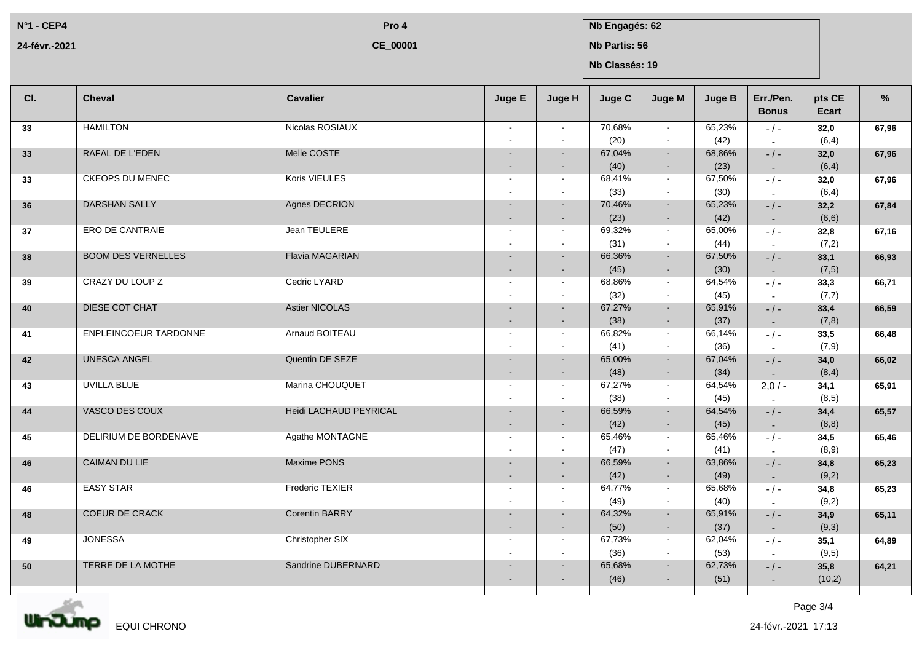**N°1 - CEP4 24-févr.-2021**

**CE\_00001**

## **Pro 4 Nb Engagés: 62**

**Nb Partis: 56**

**Nb Classés: 19**

| CI. | <b>Cheval</b>             | <b>Cavalier</b>               | Juge E                                     | Juge H           | Juge C         | Juge M                   | <b>Juge B</b>  | Err./Pen.<br><b>Bonus</b>             | pts CE<br>Ecart | $\frac{9}{6}$ |
|-----|---------------------------|-------------------------------|--------------------------------------------|------------------|----------------|--------------------------|----------------|---------------------------------------|-----------------|---------------|
| 33  | <b>HAMILTON</b>           | Nicolas ROSIAUX               | $\sim$                                     | $\sim$           | 70.68%<br>(20) | $\sim$<br>$\sim$         | 65.23%<br>(42) | $-$ / $-$<br>$\sim$                   | 32,0<br>(6, 4)  | 67,96         |
| 33  | RAFAL DE L'EDEN           | Melie COSTE                   | $\sim$                                     | $\sim$           | 67,04%<br>(40) | $\sim$<br>$\sim$         | 68,86%<br>(23) | $-$ / $-$<br>$\sim$                   | 32,0<br>(6, 4)  | 67,96         |
| 33  | <b>CKEOPS DU MENEC</b>    | Koris VIEULES                 | $\blacksquare$<br>$\overline{\phantom{a}}$ | $\sim$           | 68,41%<br>(33) | $\sim$<br>$\sim$         | 67,50%<br>(30) | $-$ / $-$<br>$\overline{\phantom{a}}$ | 32,0<br>(6, 4)  | 67,96         |
| 36  | <b>DARSHAN SALLY</b>      | Agnes DECRION                 | $\sim$                                     | $\sim$<br>$\sim$ | 70,46%<br>(23) | $\sim$<br>$\sim$         | 65,23%<br>(42) | $-$ / $-$<br>$\sim$                   | 32,2<br>(6, 6)  | 67,84         |
| 37  | <b>ERO DE CANTRAIE</b>    | Jean TEULERE                  | $\sim$                                     | $\sim$           | 69,32%<br>(31) | $\sim$<br>$\sim$         | 65,00%<br>(44) | $-$ / $-$<br>$\sim$                   | 32,8<br>(7,2)   | 67,16         |
| 38  | <b>BOOM DES VERNELLES</b> | <b>Flavia MAGARIAN</b>        |                                            | $\sim$           | 66,36%<br>(45) | $\sim$<br>$\sim$         | 67,50%<br>(30) | $-$ / $-$<br>$\sim$                   | 33,1<br>(7,5)   | 66,93         |
| 39  | CRAZY DU LOUP Z           | Cedric LYARD                  | $\overline{\phantom{a}}$                   | $\sim$<br>$\sim$ | 68,86%<br>(32) | $\sim$<br>$\sim$         | 64,54%<br>(45) | $-$ / $-$                             | 33,3<br>(7,7)   | 66,71         |
| 40  | DIESE COT CHAT            | <b>Astier NICOLAS</b>         | $\sim$                                     | $\sim$<br>$\sim$ | 67,27%<br>(38) | $\sim$<br>$\sim$         | 65,91%<br>(37) | $-/-$<br>$\sim$                       | 33,4<br>(7,8)   | 66,59         |
| 41  | ENPLEINCOEUR TARDONNE     | Arnaud BOITEAU                | $\sim$                                     | $\sim$           | 66,82%<br>(41) | $\sim$<br>$\sim$         | 66,14%<br>(36) | $-$ / $-$                             | 33,5<br>(7,9)   | 66,48         |
| 42  | <b>UNESCA ANGEL</b>       | Quentin DE SEZE               |                                            | $\sim$           | 65,00%<br>(48) | $\sim$<br>$\sim$         | 67,04%<br>(34) | $\sim$<br>$-$ / $-$                   | 34,0<br>(8, 4)  | 66,02         |
| 43  | <b>UVILLA BLUE</b>        | Marina CHOUQUET               | $\overline{\phantom{a}}$                   | $\sim$           | 67,27%         | $\sim$                   | 64,54%         | $\sim$<br>$2,0/-$                     | 34,1            | 65,91         |
| 44  | VASCO DES COUX            | <b>Heidi LACHAUD PEYRICAL</b> | $\overline{\phantom{a}}$                   |                  | (38)<br>66,59% | $\sim$<br>$\sim$         | (45)<br>64,54% | $\sim$<br>$-/-$                       | (8, 5)<br>34,4  | 65,57         |
| 45  | DELIRIUM DE BORDENAVE     | Agathe MONTAGNE               | $\sim$<br>$\overline{a}$                   | $\sim$<br>$\sim$ | (42)<br>65,46% | $\sim$<br>$\sim$         | (45)<br>65,46% | $\sim$<br>$-$ / $-$                   | (8, 8)<br>34,5  | 65,46         |
| 46  | <b>CAIMAN DU LIE</b>      | <b>Maxime PONS</b>            |                                            | $\sim$           | (47)<br>66,59% | $\sim$<br>$\sim$         | (41)<br>63,86% | $\sim$<br>$-$ / $-$                   | (8,9)<br>34,8   | 65.23         |
| 46  | <b>EASY STAR</b>          | Frederic TEXIER               | $\sim$                                     | $\sim$           | (42)<br>64,77% | $\blacksquare$<br>$\sim$ | (49)<br>65,68% | $\sim$<br>$-1-$                       | (9,2)<br>34,8   | 65,23         |
| 48  | <b>COEUR DE CRACK</b>     | <b>Corentin BARRY</b>         |                                            | $\sim$           | (49)<br>64,32% | $\sim$<br>$\sim$         | (40)<br>65,91% | $\sim$<br>$-/-$                       | (9,2)<br>34,9   | 65,11         |
| 49  | <b>JONESSA</b>            | Christopher SIX               | $\sim$<br>$\blacksquare$                   | $\sim$<br>$\sim$ | (50)<br>67,73% | $\sim$<br>$\sim$         | (37)<br>62,04% | $\sim$<br>$-/-$                       | (9,3)<br>35,1   | 64,89         |
| 50  | TERRE DE LA MOTHE         | Sandrine DUBERNARD            |                                            |                  | (36)<br>65,68% | $\sim$<br>$\sim$         | (53)<br>62,73% | $\sim$<br>$-$ / $-$                   | (9,5)<br>35,8   | 64,21         |
|     |                           |                               |                                            |                  | (46)           | $\overline{\phantom{a}}$ | (51)           | $\sim$                                | (10,2)          |               |



Page 3/4